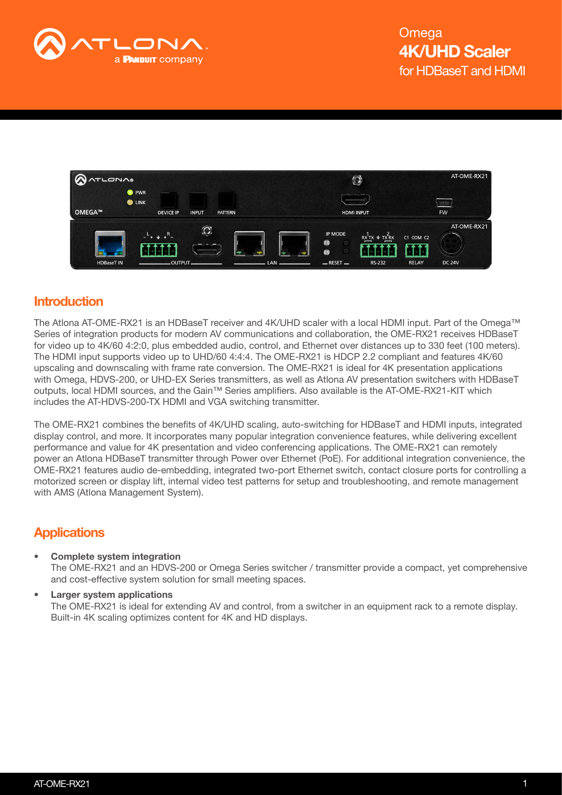



### **Introduction**

The Atlona AT-OME-RX21 is an HDBaseT receiver and 4K/UHD scaler with a local HDMI input. Part of the Omega™ Series of integration products for modern AV communications and collaboration, the OME-RX21 receives HDBaseT for video up to 4K/60 4:2:0, plus embedded audio, control, and Ethernet over distances up to 330 feet (100 meters). The HDMI input supports video up to UHD/60 4:4:4. The OME-RX21 is HDCP 2.2 compliant and features 4K/60 upscaling and downscaling with frame rate conversion. The OME-RX21 is ideal for 4K presentation applications with Omega, HDVS-200, or UHD-EX Series transmitters, as well as Atlona AV presentation switchers with HDBaseT outputs, local HDMI sources, and the Gain™ Series amplifiers. Also available is the AT-OME-RX21-KIT which includes the AT-HDVS-200-TX HDMI and VGA switching transmitter.

The OME-RX21 combines the benefits of 4K/UHD scaling, auto-switching for HDBaseT and HDMI inputs, integrated display control, and more. It incorporates many popular integration convenience features, while delivering excellent performance and value for 4K presentation and video conferencing applications. The OME-RX21 can remotely power an Atlona HDBaseT transmitter through Power over Ethernet (PoE). For additional integration convenience, the OME-RX21 features audio de-embedding, integrated two-port Ethernet switch, contact closure ports for controlling a motorized screen or display lift, internal video test patterns for setup and troubleshooting, and remote management with AMS (Atlona Management System).

## **Applications**

- Complete system integration The OME-RX21 and an HDVS-200 or Omega Series switcher / transmitter provide a compact, yet comprehensive and cost-effective system solution for small meeting spaces.
	- Larger system applications The OME-RX21 is ideal for extending AV and control, from a switcher in an equipment rack to a remote display. Built-in 4K scaling optimizes content for 4K and HD displays.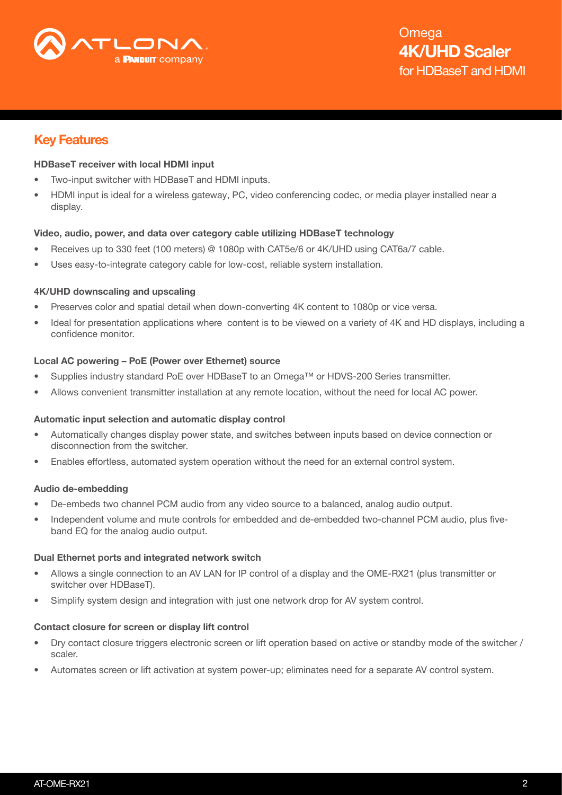

## Key Features

#### HDBaseT receiver with local HDMI input

- Two-input switcher with HDBaseT and HDMI inputs.
- HDMI input is ideal for a wireless gateway, PC, video conferencing codec, or media player installed near a display.

#### Video, audio, power, and data over category cable utilizing HDBaseT technology

- Receives up to 330 feet (100 meters) @ 1080p with CAT5e/6 or 4K/UHD using CAT6a/7 cable.
- Uses easy-to-integrate category cable for low-cost, reliable system installation.

#### 4K/UHD downscaling and upscaling

- Preserves color and spatial detail when down-converting 4K content to 1080p or vice versa.
- Ideal for presentation applications where content is to be viewed on a variety of 4K and HD displays, including a confidence monitor.

#### Local AC powering – PoE (Power over Ethernet) source

- Supplies industry standard PoE over HDBaseT to an Omega™ or HDVS-200 Series transmitter.
- Allows convenient transmitter installation at any remote location, without the need for local AC power.

#### Automatic input selection and automatic display control

- Automatically changes display power state, and switches between inputs based on device connection or disconnection from the switcher.
- Enables effortless, automated system operation without the need for an external control system.

#### Audio de-embedding

- De-embeds two channel PCM audio from any video source to a balanced, analog audio output.
- Independent volume and mute controls for embedded and de-embedded two-channel PCM audio, plus fiveband EQ for the analog audio output.

#### Dual Ethernet ports and integrated network switch

- Allows a single connection to an AV LAN for IP control of a display and the OME-RX21 (plus transmitter or switcher over HDBaseT).
- Simplify system design and integration with just one network drop for AV system control.

#### Contact closure for screen or display lift control

- Dry contact closure triggers electronic screen or lift operation based on active or standby mode of the switcher / scaler.
- Automates screen or lift activation at system power-up; eliminates need for a separate AV control system.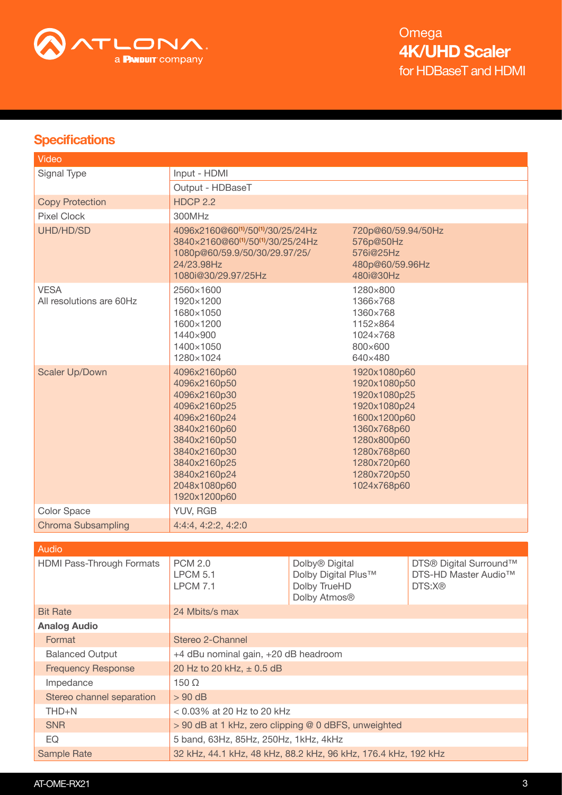

## **Specifications**

| Video                                   |                                                                                                                                                                                                |                                                                                   |                                                                                                                                                                        |                                                                      |
|-----------------------------------------|------------------------------------------------------------------------------------------------------------------------------------------------------------------------------------------------|-----------------------------------------------------------------------------------|------------------------------------------------------------------------------------------------------------------------------------------------------------------------|----------------------------------------------------------------------|
| Signal Type                             | Input - HDMI                                                                                                                                                                                   |                                                                                   |                                                                                                                                                                        |                                                                      |
|                                         | Output - HDBaseT                                                                                                                                                                               |                                                                                   |                                                                                                                                                                        |                                                                      |
| <b>Copy Protection</b>                  | <b>HDCP 2.2</b>                                                                                                                                                                                |                                                                                   |                                                                                                                                                                        |                                                                      |
| <b>Pixel Clock</b>                      | 300MHz                                                                                                                                                                                         |                                                                                   |                                                                                                                                                                        |                                                                      |
| UHD/HD/SD                               | 4096x2160@60 <sup>(1)</sup> /50 <sup>(1)</sup> /30/25/24Hz<br>3840×2160@60 <sup>(1)</sup> /50 <sup>(1)</sup> /30/25/24Hz<br>1080p@60/59.9/50/30/29.97/25/<br>24/23.98Hz<br>1080i@30/29.97/25Hz |                                                                                   | 720p@60/59.94/50Hz<br>576p@50Hz<br>576i@25Hz<br>480p@60/59.96Hz<br>480i@30Hz                                                                                           |                                                                      |
| <b>VESA</b><br>All resolutions are 60Hz | 2560×1600<br>1920×1200<br>1680×1050<br>1600×1200<br>1440×900<br>1400×1050<br>1280×1024                                                                                                         |                                                                                   | 1280×800<br>1366×768<br>1360×768<br>1152×864<br>1024×768<br>800×600<br>640×480                                                                                         |                                                                      |
| Scaler Up/Down                          | 4096x2160p60<br>4096x2160p50<br>4096x2160p30<br>4096x2160p25<br>4096x2160p24<br>3840x2160p60<br>3840x2160p50<br>3840x2160p30<br>3840x2160p25<br>3840x2160p24<br>2048x1080p60<br>1920x1200p60   |                                                                                   | 1920x1080p60<br>1920x1080p50<br>1920x1080p25<br>1920x1080p24<br>1600x1200p60<br>1360x768p60<br>1280x800p60<br>1280x768p60<br>1280x720p60<br>1280x720p50<br>1024x768p60 |                                                                      |
| <b>Color Space</b>                      | YUV, RGB                                                                                                                                                                                       |                                                                                   |                                                                                                                                                                        |                                                                      |
| <b>Chroma Subsampling</b>               | 4:4:4, 4:2:2, 4:2:0                                                                                                                                                                            |                                                                                   |                                                                                                                                                                        |                                                                      |
|                                         |                                                                                                                                                                                                |                                                                                   |                                                                                                                                                                        |                                                                      |
| Audio                                   |                                                                                                                                                                                                |                                                                                   |                                                                                                                                                                        |                                                                      |
| <b>HDMI Pass-Through Formats</b>        | <b>PCM 2.0</b><br><b>LPCM 5.1</b><br><b>LPCM 7.1</b>                                                                                                                                           | Dolby <sup>®</sup> Digital<br>Dolby Digital Plus™<br>Dolby TrueHD<br>Dolby Atmos® |                                                                                                                                                                        | DTS® Digital Surround™<br>DTS-HD Master Audio <sup>™</sup><br>DTS:X® |
| <b>Bit Rate</b>                         | 24 Mbits/s max                                                                                                                                                                                 |                                                                                   |                                                                                                                                                                        |                                                                      |
| <b>Analog Audio</b>                     |                                                                                                                                                                                                |                                                                                   |                                                                                                                                                                        |                                                                      |
| Format                                  | Stereo 2-Channel                                                                                                                                                                               |                                                                                   |                                                                                                                                                                        |                                                                      |
| <b>Balanced Output</b>                  | +4 dBu nominal gain, +20 dB headroom                                                                                                                                                           |                                                                                   |                                                                                                                                                                        |                                                                      |
| <b>Frequency Response</b>               | 20 Hz to 20 kHz, ± 0.5 dB                                                                                                                                                                      |                                                                                   |                                                                                                                                                                        |                                                                      |
| Impedance                               | $150 \Omega$                                                                                                                                                                                   |                                                                                   |                                                                                                                                                                        |                                                                      |
| Stereo channel separation               | $> 90$ dB                                                                                                                                                                                      |                                                                                   |                                                                                                                                                                        |                                                                      |
| THD+N                                   | $< 0.03\%$ at 20 Hz to 20 kHz                                                                                                                                                                  |                                                                                   |                                                                                                                                                                        |                                                                      |
| <b>SNR</b>                              | > 90 dB at 1 kHz, zero clipping @ 0 dBFS, unweighted                                                                                                                                           |                                                                                   |                                                                                                                                                                        |                                                                      |
| EQ                                      | 5 band, 63Hz, 85Hz, 250Hz, 1kHz, 4kHz                                                                                                                                                          |                                                                                   |                                                                                                                                                                        |                                                                      |
| <b>Sample Rate</b>                      | 32 kHz, 44.1 kHz, 48 kHz, 88.2 kHz, 96 kHz, 176.4 kHz, 192 kHz                                                                                                                                 |                                                                                   |                                                                                                                                                                        |                                                                      |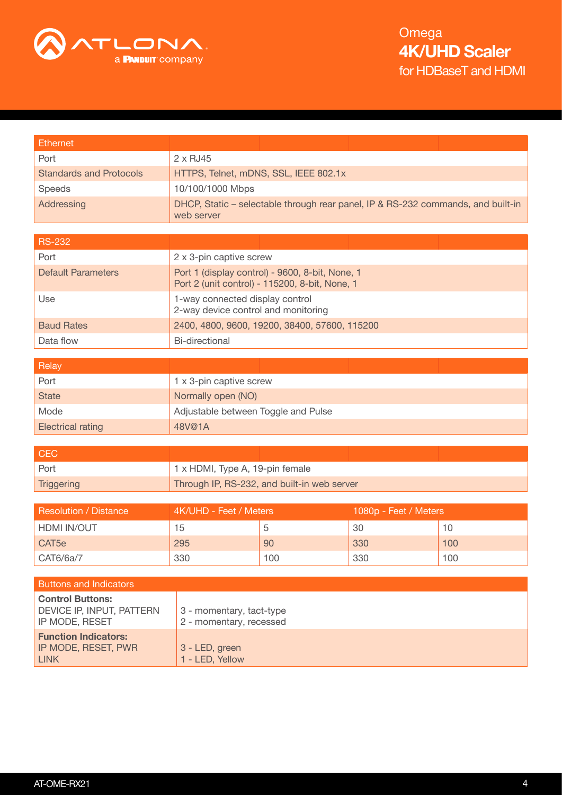

| <b>Ethernet</b>                |                                                                                                   |
|--------------------------------|---------------------------------------------------------------------------------------------------|
| Port                           | $2 \times$ RJ45                                                                                   |
| <b>Standards and Protocols</b> | HTTPS, Telnet, mDNS, SSL, IEEE 802.1x                                                             |
| <b>Speeds</b>                  | 10/100/1000 Mbps                                                                                  |
| Addressing                     | DHCP, Static – selectable through rear panel, IP & RS-232 commands, and built-in<br>web server    |
|                                |                                                                                                   |
| <b>RS-232</b>                  |                                                                                                   |
| Port                           | 2 x 3-pin captive screw                                                                           |
| <b>Default Parameters</b>      | Port 1 (display control) - 9600, 8-bit, None, 1<br>Port 2 (unit control) - 115200, 8-bit, None, 1 |
| Use                            | 1-way connected display control<br>2-way device control and monitoring                            |
| <b>Baud Rates</b>              | 2400, 4800, 9600, 19200, 38400, 57600, 115200                                                     |
| Data flow                      | Bi-directional                                                                                    |
|                                |                                                                                                   |
| Relay                          |                                                                                                   |
| Port                           | 1 x 3-pin captive screw                                                                           |

| Port                     | 1 x 3-pin captive screw             |
|--------------------------|-------------------------------------|
| <b>State</b>             | Normally open (NO)                  |
| Mode                     | Adjustable between Toggle and Pulse |
| <b>Electrical rating</b> | 48V@1A                              |

| <b>CEC</b> |                                             |
|------------|---------------------------------------------|
| Port       | 1 x HDMI, Type A, 19-pin female             |
| Triggering | Through IP, RS-232, and built-in web server |

| <b>Resolution / Distance</b> | 4K/UHD - Feet / Meters |     | 1080p - Feet / Meters |     |
|------------------------------|------------------------|-----|-----------------------|-----|
| HDMI IN/OUT                  | 15                     |     | 30                    | 10  |
| CAT <sub>5e</sub>            | 295                    | 90  | 330                   | 100 |
| CAT6/6a/7                    | 330                    | 100 | 330                   | 100 |

| <b>Buttons and Indicators</b>                                          |                                                     |
|------------------------------------------------------------------------|-----------------------------------------------------|
| <b>Control Buttons:</b><br>DEVICE IP, INPUT, PATTERN<br>IP MODE, RESET | 3 - momentary, tact-type<br>2 - momentary, recessed |
| <b>Function Indicators:</b><br>IP MODE, RESET, PWR<br><b>LINK</b>      | 3 - LED, green<br>1 - LED, Yellow                   |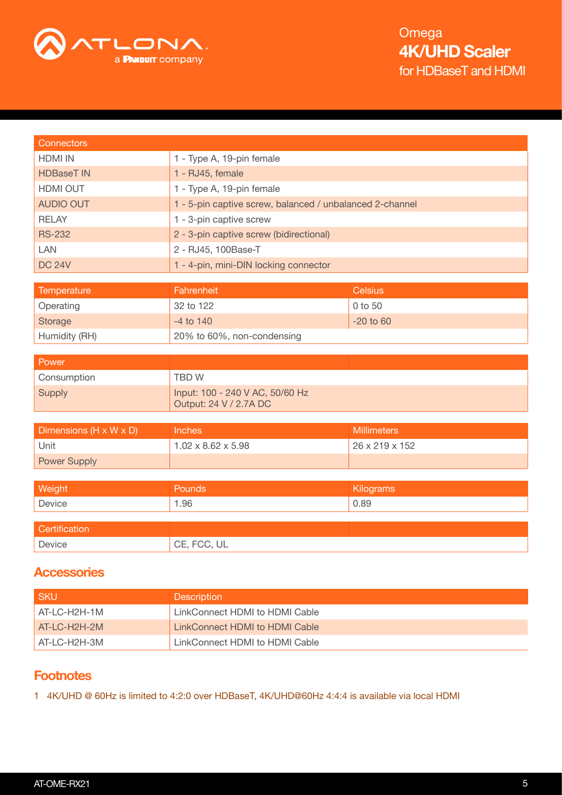

| <b>Connectors</b>      |                                                           |                    |  |  |
|------------------------|-----------------------------------------------------------|--------------------|--|--|
| <b>HDMI IN</b>         | 1 - Type A, 19-pin female                                 |                    |  |  |
| <b>HDBaseT IN</b>      | 1 - RJ45, female                                          |                    |  |  |
| <b>HDMI OUT</b>        | 1 - Type A, 19-pin female                                 |                    |  |  |
| <b>AUDIO OUT</b>       | 1 - 5-pin captive screw, balanced / unbalanced 2-channel  |                    |  |  |
| <b>RELAY</b>           | 1 - 3-pin captive screw                                   |                    |  |  |
| <b>RS-232</b>          | 2 - 3-pin captive screw (bidirectional)                   |                    |  |  |
| <b>LAN</b>             | 2 - RJ45, 100Base-T                                       |                    |  |  |
| <b>DC 24V</b>          | 1 - 4-pin, mini-DIN locking connector                     |                    |  |  |
|                        |                                                           |                    |  |  |
| Temperature            | Fahrenheit                                                | <b>Celsius</b>     |  |  |
| Operating              | 32 to 122                                                 | 0 to 50            |  |  |
| Storage                | $-4$ to $140$                                             | $-20$ to $60$      |  |  |
| Humidity (RH)          | 20% to 60%, non-condensing                                |                    |  |  |
| Power                  |                                                           |                    |  |  |
| Consumption            | <b>TBDW</b>                                               |                    |  |  |
| <b>Supply</b>          | Input: 100 - 240 V AC, 50/60 Hz<br>Output: 24 V / 2.7A DC |                    |  |  |
|                        |                                                           |                    |  |  |
| Dimensions (H x W x D) | <b>Inches</b>                                             | <b>Millimeters</b> |  |  |
| Unit                   | $1.02 \times 8.62 \times 5.98$                            | 26 x 219 x 152     |  |  |
| <b>Power Supply</b>    |                                                           |                    |  |  |
|                        |                                                           |                    |  |  |
| Weight                 | Pounds                                                    | Kilograms          |  |  |
| Device                 | 1.96                                                      | 0.89               |  |  |
| Certification          |                                                           |                    |  |  |
|                        |                                                           |                    |  |  |
|                        |                                                           |                    |  |  |
| Device                 | CE, FCC, UL                                               |                    |  |  |

## **Accessories**

| <b>SKU</b>   | <b>Description</b>             |
|--------------|--------------------------------|
| AT-LC-H2H-1M | LinkConnect HDMI to HDMI Cable |
| AT-LC-H2H-2M | LinkConnect HDMI to HDMI Cable |
| AT-LC-H2H-3M | LinkConnect HDMI to HDMI Cable |

## **Footnotes**

1 4K/UHD @ 60Hz is limited to 4:2:0 over HDBaseT, 4K/UHD@60Hz 4:4:4 is available via local HDMI